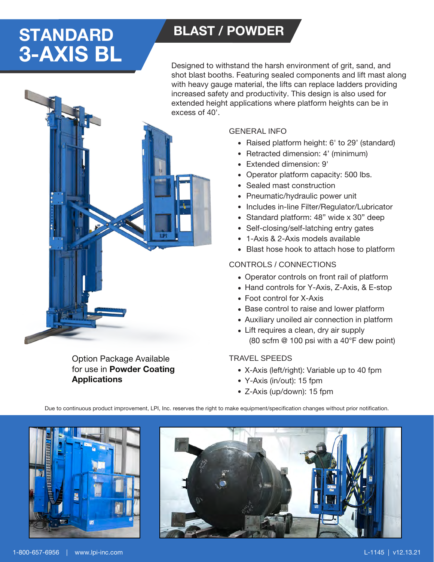# STANDARD BLAST / POWDER 3-AXIS BL

Designed to withstand the harsh environment of grit, sand, and shot blast booths. Featuring sealed components and lift mast along with heavy gauge material, the lifts can replace ladders providing increased safety and productivity. This design is also used for extended height applications where platform heights can be in excess of 40'.

Option Package Available for use in Powder Coating **Applications** 

### GENERAL INFO

- Raised platform height: 6' to 29' (standard)
- Retracted dimension: 4' (minimum)
- Extended dimension: 9'
- Operator platform capacity: 500 lbs.
- Sealed mast construction
- Pneumatic/hydraulic power unit
- Includes in-line Filter/Regulator/Lubricator
- Standard platform: 48" wide x 30" deep
- Self-closing/self-latching entry gates
- 1-Axis & 2-Axis models available •
- Blast hose hook to attach hose to platform

## CONTROLS / CONNECTIONS

- Operator controls on front rail of platform
- Hand controls for Y-Axis, Z-Axis, & E-stop
- Foot control for X-Axis
- Base control to raise and lower platform
- Auxiliary unoiled air connection in platform
- Lift requires a clean, dry air supply (80 scfm @ 100 psi with a 40°F dew point)

### TRAVEL SPEEDS

- X-Axis (left/right): Variable up to 40 fpm
- Y-Axis (in/out): 15 fpm
- Z-Axis (up/down): 15 fpm

Due to continuous product improvement, LPI, Inc. reserves the right to make equipment/specification changes without prior notification.